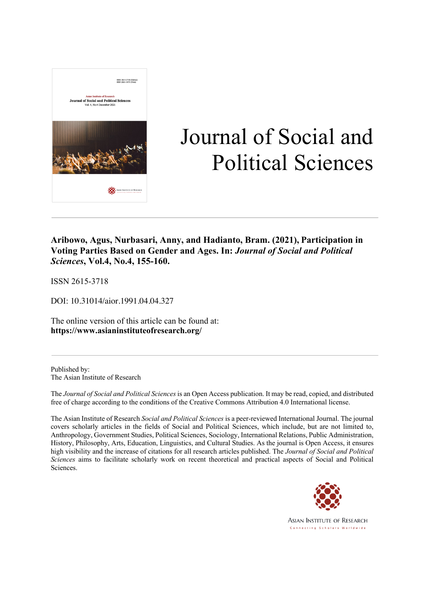

# Journal of Social and Political Sciences

### **Aribowo, Agus, Nurbasari, Anny, and Hadianto, Bram. (2021), Participation in Voting Parties Based on Gender and Ages. In:** *Journal of Social and Political Sciences***, Vol.4, No.4, 155-160.**

ISSN 2615-3718

DOI: 10.31014/aior.1991.04.04.327

The online version of this article can be found at: **https://www.asianinstituteofresearch.org/**

Published by: The Asian Institute of Research

The *Journal of Social and Political Sciences* is an Open Access publication. It may be read, copied, and distributed free of charge according to the conditions of the Creative Commons Attribution 4.0 International license.

The Asian Institute of Research *Social and Political Sciences* is a peer-reviewed International Journal. The journal covers scholarly articles in the fields of Social and Political Sciences, which include, but are not limited to, Anthropology, Government Studies, Political Sciences, Sociology, International Relations, Public Administration, History, Philosophy, Arts, Education, Linguistics, and Cultural Studies. As the journal is Open Access, it ensures high visibility and the increase of citations for all research articles published. The *Journal of Social and Political Sciences* aims to facilitate scholarly work on recent theoretical and practical aspects of Social and Political Sciences.



**ASIAN INSTITUTE OF RESEARCH** Connecting Scholars Worldwide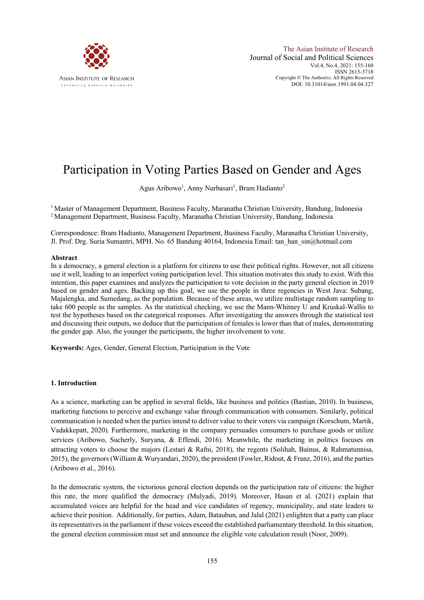

## Participation in Voting Parties Based on Gender and Ages

Agus Aribowo<sup>1</sup>, Anny Nurbasari<sup>1</sup>, Bram Hadianto<sup>2</sup>

<sup>1</sup> Master of Management Department, Business Faculty, Maranatha Christian University, Bandung, Indonesia 2 Management Department, Business Faculty, Maranatha Christian University, Bandung, Indonesia

Correspondence: Bram Hadianto, Management Department, Business Faculty, Maranatha Christian University, Jl. Prof. Drg. Suria Sumantri, MPH. No. 65 Bandung 40164, Indonesia Email: tan\_han\_sin@hotmail.com

#### **Abstract**

In a democracy, a general election is a platform for citizens to use their political rights. However, not all citizens use it well, leading to an imperfect voting participation level. This situation motivates this study to exist. With this intention, this paper examines and analyzes the participation to vote decision in the party general election in 2019 based on gender and ages. Backing up this goal, we use the people in three regencies in West Java: Subang, Majalengka, and Sumedang, as the population. Because of these areas, we utilize multistage random sampling to take 600 people as the samples. As the statistical checking, we use the Mann-Whitney U and Kruskal-Wallis to test the hypotheses based on the categorical responses. After investigating the answers through the statistical test and discussing their outputs, we deduce that the participation of females is lower than that of males, demonstrating the gender gap. Also, the younger the participants, the higher involvement to vote.

**Keywords:** Ages, Gender, General Election, Participation in the Vote

#### **1. Introduction**

As a science, marketing can be applied in several fields, like business and politics (Bastian, 2010). In business, marketing functions to perceive and exchange value through communication with consumers. Similarly, political communication is needed when the parties intend to deliver value to their voters via campaign (Korschum, Martik, Vadakkepatt, 2020). Furthermore, marketing in the company persuades consumers to purchase goods or utilize services (Aribowo, Sucherly, Suryana, & Effendi, 2016). Meanwhile, the marketing in politics focuses on attracting voters to choose the majors (Lestari & Rafni, 2018), the regents (Solihah, Bainus, & Rahmatunnisa, 2015), the governors (William & Wuryandari, 2020), the president (Fowler, Ridout, & Franz, 2016), and the parties (Aribowo et al., 2016).

In the democratic system, the victorious general election depends on the participation rate of citizens: the higher this rate, the more qualified the democracy (Mulyadi, 2019). Moreover, Hasan et al. (2021) explain that accumulated voices are helpful for the head and vice candidates of regency, municipality, and state leaders to achieve their position. Additionally, for parties, Adam, Bataubun, and Jalal (2021) enlighten that a party can place its representatives in the parliament if these voices exceed the established parliamentary threshold. In this situation, the general election commission must set and announce the eligible vote calculation result (Noor, 2009).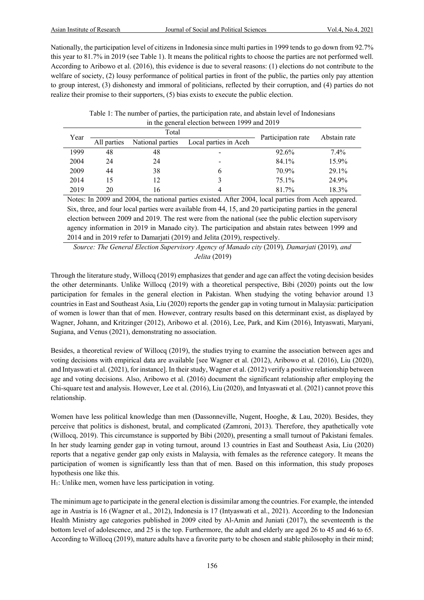Nationally, the participation level of citizens in Indonesia since multi parties in 1999 tends to go down from 92.7% this year to 81.7% in 2019 (see Table 1). It means the political rights to choose the parties are not performed well. According to Aribowo et al. (2016), this evidence is due to several reasons: (1) elections do not contribute to the welfare of society, (2) lousy performance of political parties in front of the public, the parties only pay attention to group interest, (3) dishonesty and immoral of politicians, reflected by their corruption, and (4) parties do not realize their promise to their supporters, (5) bias exists to execute the public election.

Table 1: The number of parties, the participation rate, and abstain level of Indonesians in the general election between 1999 and 2019

| Year | Total       |                  |                       | Participation rate | Abstain rate |
|------|-------------|------------------|-----------------------|--------------------|--------------|
|      | All parties | National parties | Local parties in Aceh |                    |              |
| 1999 | 48          | 48               |                       | 92.6%              | $7.4\%$      |
| 2004 | 24          | 24               | -                     | 84.1%              | 15.9%        |
| 2009 | 44          | 38               |                       | 70.9%              | 29.1%        |
| 2014 | 15          | 12               |                       | 75.1%              | 24.9%        |
| 2019 | 20          | 16               |                       | 81.7%              | 18.3%        |

Notes: In 2009 and 2004, the national parties existed. After 2004, local parties from Aceh appeared. Six, three, and four local parties were available from 44, 15, and 20 participating parties in the general election between 2009 and 2019. The rest were from the national (see the public election supervisory agency information in 2019 in Manado city). The participation and abstain rates between 1999 and 2014 and in 2019 refer to Damarjati (2019) and Jelita (2019), respectively.

*Source: The General Election Supervisory Agency of Manado city* (2019)*, Damarjati* (2019)*, and Jelita* (2019)

Through the literature study, Willocq (2019) emphasizes that gender and age can affect the voting decision besides the other determinants. Unlike Willocq (2019) with a theoretical perspective, Bibi (2020) points out the low participation for females in the general election in Pakistan. When studying the voting behavior around 13 countries in East and Southeast Asia, Liu (2020) reports the gender gap in voting turnout in Malaysia: participation of women is lower than that of men. However, contrary results based on this determinant exist, as displayed by Wagner, Johann, and Kritzinger (2012), Aribowo et al. (2016), Lee, Park, and Kim (2016), Intyaswati, Maryani, Sugiana, and Venus (2021), demonstrating no association.

Besides, a theoretical review of Willocq (2019), the studies trying to examine the association between ages and voting decisions with empirical data are available [see Wagner et al. (2012), Aribowo et al. (2016), Liu (2020), and Intyaswati et al. (2021), for instance]. In their study, Wagner et al. (2012) verify a positive relationship between age and voting decisions. Also, Aribowo et al. (2016) document the significant relationship after employing the Chi-square test and analysis. However, Lee et al. (2016), Liu (2020), and Intyaswati et al. (2021) cannot prove this relationship.

Women have less political knowledge than men (Dassonneville, Nugent, Hooghe, & Lau, 2020). Besides, they perceive that politics is dishonest, brutal, and complicated (Zamroni, 2013). Therefore, they apathetically vote (Willocq, 2019). This circumstance is supported by Bibi (2020), presenting a small turnout of Pakistani females. In her study learning gender gap in voting turnout, around 13 countries in East and Southeast Asia, Liu (2020) reports that a negative gender gap only exists in Malaysia, with females as the reference category. It means the participation of women is significantly less than that of men. Based on this information, this study proposes hypothesis one like this.

H1: Unlike men, women have less participation in voting.

The minimum age to participate in the general election is dissimilar among the countries. For example, the intended age in Austria is 16 (Wagner et al., 2012), Indonesia is 17 (Intyaswati et al., 2021). According to the Indonesian Health Ministry age categories published in 2009 cited by Al-Amin and Juniati (2017), the seventeenth is the bottom level of adolescence, and 25 is the top. Furthermore, the adult and elderly are aged 26 to 45 and 46 to 65. According to Willocq (2019), mature adults have a favorite party to be chosen and stable philosophy in their mind;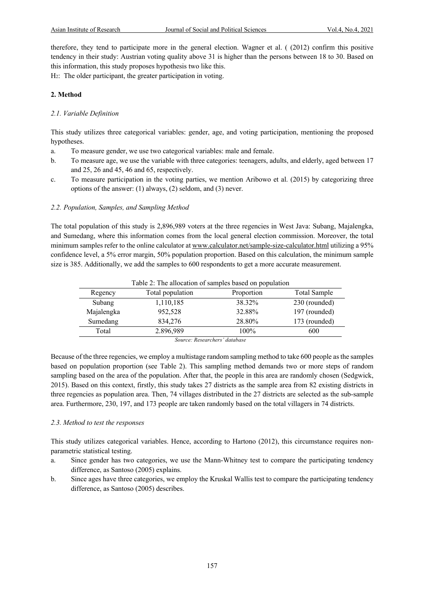therefore, they tend to participate more in the general election. Wagner et al. ( (2012) confirm this positive tendency in their study: Austrian voting quality above 31 is higher than the persons between 18 to 30. Based on this information, this study proposes hypothesis two like this.

H2: The older participant, the greater participation in voting.

#### **2. Method**

#### *2.1. Variable Definition*

This study utilizes three categorical variables: gender, age, and voting participation, mentioning the proposed hypotheses.

- a. To measure gender, we use two categorical variables: male and female.
- b. To measure age, we use the variable with three categories: teenagers, adults, and elderly, aged between 17 and 25, 26 and 45, 46 and 65, respectively.
- c. To measure participation in the voting parties, we mention Aribowo et al. (2015) by categorizing three options of the answer: (1) always, (2) seldom, and (3) never.

#### *2.2. Population, Samples, and Sampling Method*

The total population of this study is 2,896,989 voters at the three regencies in West Java: Subang, Majalengka, and Sumedang, where this information comes from the local general election commission. Moreover, the total minimum samples refer to the online calculator at www.calculator.net/sample-size-calculator.html utilizing a 95% confidence level, a 5% error margin, 50% population proportion. Based on this calculation, the minimum sample size is 385. Additionally, we add the samples to 600 respondents to get a more accurate measurement.

|            | Table 2: The allocation of samples based on population |            |               |
|------------|--------------------------------------------------------|------------|---------------|
| Regency    | Total population                                       | Proportion | Total Sample  |
| Subang     | 1,110,185                                              | 38.32%     | 230 (rounded) |
| Majalengka | 952,528                                                | 32.88%     | 197 (rounded) |
| Sumedang   | 834,276                                                | 28.80%     | 173 (rounded) |
| Total      | 2.896,989                                              | 100%       | 600           |

*Source: Researchers' database*

Because of the three regencies, we employ a multistage random sampling method to take 600 people as the samples based on population proportion (see Table 2). This sampling method demands two or more steps of random sampling based on the area of the population. After that, the people in this area are randomly chosen (Sedgwick, 2015). Based on this context, firstly, this study takes 27 districts as the sample area from 82 existing districts in three regencies as population area. Then, 74 villages distributed in the 27 districts are selected as the sub-sample area. Furthermore, 230, 197, and 173 people are taken randomly based on the total villagers in 74 districts.

#### *2.3. Method to test the responses*

This study utilizes categorical variables. Hence, according to Hartono (2012), this circumstance requires nonparametric statistical testing.

- a. Since gender has two categories, we use the Mann-Whitney test to compare the participating tendency difference, as Santoso (2005) explains.
- b. Since ages have three categories, we employ the Kruskal Wallis test to compare the participating tendency difference, as Santoso (2005) describes.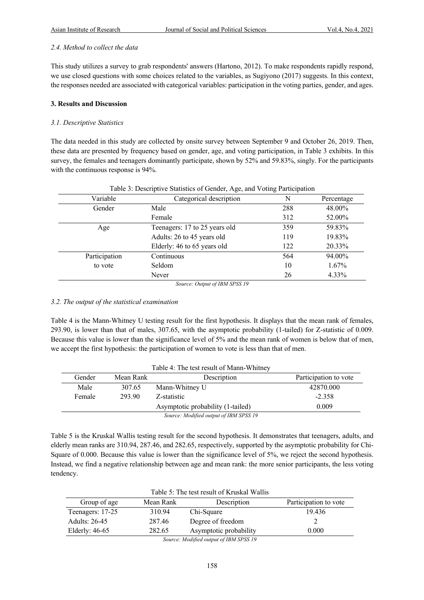#### *2.4. Method to collect the data*

This study utilizes a survey to grab respondents' answers (Hartono, 2012). To make respondents rapidly respond, we use closed questions with some choices related to the variables, as Sugiyono (2017) suggests. In this context, the responses needed are associated with categorical variables: participation in the voting parties, gender, and ages.

#### **3. Results and Discussion**

#### *3.1. Descriptive Statistics*

The data needed in this study are collected by onsite survey between September 9 and October 26, 2019. Then, these data are presented by frequency based on gender, age, and voting participation, in Table 3 exhibits. In this survey, the females and teenagers dominantly participate, shown by 52% and 59.83%, singly. For the participants with the continuous response is 94%.

| Variable      | Categorical description       |     | Percentage |
|---------------|-------------------------------|-----|------------|
| Gender        | Male                          | 288 | 48.00%     |
|               | Female                        | 312 | 52.00%     |
| Age           | Teenagers: 17 to 25 years old | 359 | 59.83%     |
|               | Adults: 26 to 45 years old    | 119 | 19.83%     |
|               | Elderly: 46 to 65 years old   | 122 | 20.33%     |
| Participation | Continuous                    | 564 | 94.00%     |
| to vote       | Seldom                        | 10  | $1.67\%$   |
|               | Never                         | 26  | 4.33%      |

#### Table 3: Descriptive Statistics of Gender, Age, and Voting Participation

*Source: Output of IBM SPSS 19*

#### *3.2. The output of the statistical examination*

Table 4 is the Mann-Whitney U testing result for the first hypothesis. It displays that the mean rank of females, 293.90, is lower than that of males, 307.65, with the asymptotic probability (1-tailed) for Z-statistic of 0.009. Because this value is lower than the significance level of 5% and the mean rank of women is below that of men, we accept the first hypothesis: the participation of women to vote is less than that of men.

|        |           | Table 4: The test result of Mann-Whitney |                       |
|--------|-----------|------------------------------------------|-----------------------|
| Gender | Mean Rank | Description                              | Participation to vote |
| Male   | 307.65    | Mann-Whitney U                           | 42870.000             |
| Female | 293.90    | Z-statistic                              | $-2.358$              |
|        |           | Asymptotic probability (1-tailed)        | 0.009                 |
|        |           | Source: Modified output of IBM SPSS 19   |                       |

Table 5 is the Kruskal Wallis testing result for the second hypothesis. It demonstrates that teenagers, adults, and elderly mean ranks are 310.94, 287.46, and 282.65, respectively, supported by the asymptotic probability for Chi-Square of 0.000. Because this value is lower than the significance level of 5%, we reject the second hypothesis. Instead, we find a negative relationship between age and mean rank: the more senior participants, the less voting tendency.

| Table 5: The test result of Kruskal Wallis |           |                        |                       |  |
|--------------------------------------------|-----------|------------------------|-----------------------|--|
| Group of age                               | Mean Rank | Description            | Participation to vote |  |
| Teenagers: 17-25                           | 310.94    | Chi-Square             | 19.436                |  |
| Adults: 26-45                              | 287.46    | Degree of freedom      |                       |  |
| Elderly: $46-65$                           | 282.65    | Asymptotic probability | 0.000                 |  |
|                                            |           |                        |                       |  |

*Source: Modified output of IBM SPSS 19*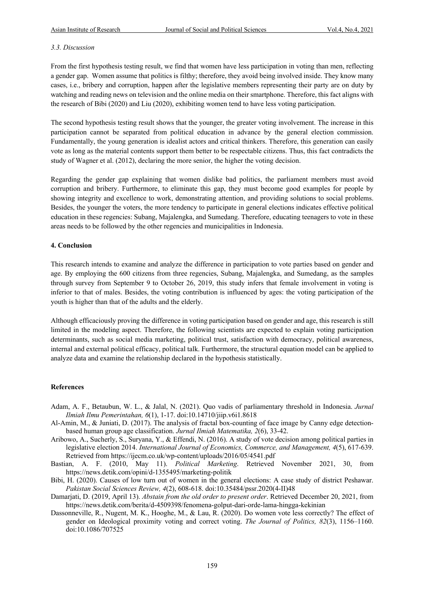#### *3.3. Discussion*

From the first hypothesis testing result, we find that women have less participation in voting than men, reflecting a gender gap. Women assume that politics is filthy; therefore, they avoid being involved inside. They know many cases, i.e., bribery and corruption, happen after the legislative members representing their party are on duty by watching and reading news on television and the online media on their smartphone. Therefore, this fact aligns with the research of Bibi (2020) and Liu (2020), exhibiting women tend to have less voting participation.

The second hypothesis testing result shows that the younger, the greater voting involvement. The increase in this participation cannot be separated from political education in advance by the general election commission. Fundamentally, the young generation is idealist actors and critical thinkers. Therefore, this generation can easily vote as long as the material contents support them better to be respectable citizens. Thus, this fact contradicts the study of Wagner et al. (2012), declaring the more senior, the higher the voting decision.

Regarding the gender gap explaining that women dislike bad politics, the parliament members must avoid corruption and bribery. Furthermore, to eliminate this gap, they must become good examples for people by showing integrity and excellence to work, demonstrating attention, and providing solutions to social problems. Besides, the younger the voters, the more tendency to participate in general elections indicates effective political education in these regencies: Subang, Majalengka, and Sumedang. Therefore, educating teenagers to vote in these areas needs to be followed by the other regencies and municipalities in Indonesia.

#### **4. Conclusion**

This research intends to examine and analyze the difference in participation to vote parties based on gender and age. By employing the 600 citizens from three regencies, Subang, Majalengka, and Sumedang, as the samples through survey from September 9 to October 26, 2019, this study infers that female involvement in voting is inferior to that of males. Besides, the voting contribution is influenced by ages: the voting participation of the youth is higher than that of the adults and the elderly.

Although efficaciously proving the difference in voting participation based on gender and age, this research is still limited in the modeling aspect. Therefore, the following scientists are expected to explain voting participation determinants, such as social media marketing, political trust, satisfaction with democracy, political awareness, internal and external political efficacy, political talk. Furthermore, the structural equation model can be applied to analyze data and examine the relationship declared in the hypothesis statistically.

#### **References**

- Adam, A. F., Betaubun, W. L., & Jalal, N. (2021). Quo vadis of parliamentary threshold in Indonesia. *Jurnal Ilmiah Ilmu Pemerintahan, 6*(1), 1-17. doi:10.14710/jiip.v6i1.8618
- Al-Amin, M., & Juniati, D. (2017). The analysis of fractal box-counting of face image by Canny edge detectionbased human group age classification. *Jurnal Ilmiah Matematika, 2*(6), 33-42.
- Aribowo, A., Sucherly, S., Suryana, Y., & Effendi, N. (2016). A study of vote decision among political parties in legislative election 2014. *International Journal of Economics, Commerce, and Management, 4*(5), 617-639. Retrieved from https://ijecm.co.uk/wp-content/uploads/2016/05/4541.pdf
- Bastian, A. F. (2010, May 11). *Political Marketing*. Retrieved November 2021, 30, from https://news.detik.com/opini/d-1355495/marketing-politik
- Bibi, H. (2020). Causes of low turn out of women in the general elections: A case study of district Peshawar. *Pakistan Social Sciences Review, 4*(2), 608-618. doi:10.35484/pssr.2020(4-II)48
- Damarjati, D. (2019, April 13). *Abstain from the old order to present order*. Retrieved December 20, 2021, from https://news.detik.com/berita/d-4509398/fenomena-golput-dari-orde-lama-hingga-kekinian
- Dassonneville, R., Nugent, M. K., Hooghe, M., & Lau, R. (2020). Do women vote less correctly? The effect of gender on Ideological proximity voting and correct voting. *The Journal of Politics, 82*(3), 1156–1160. doi:10.1086/707525